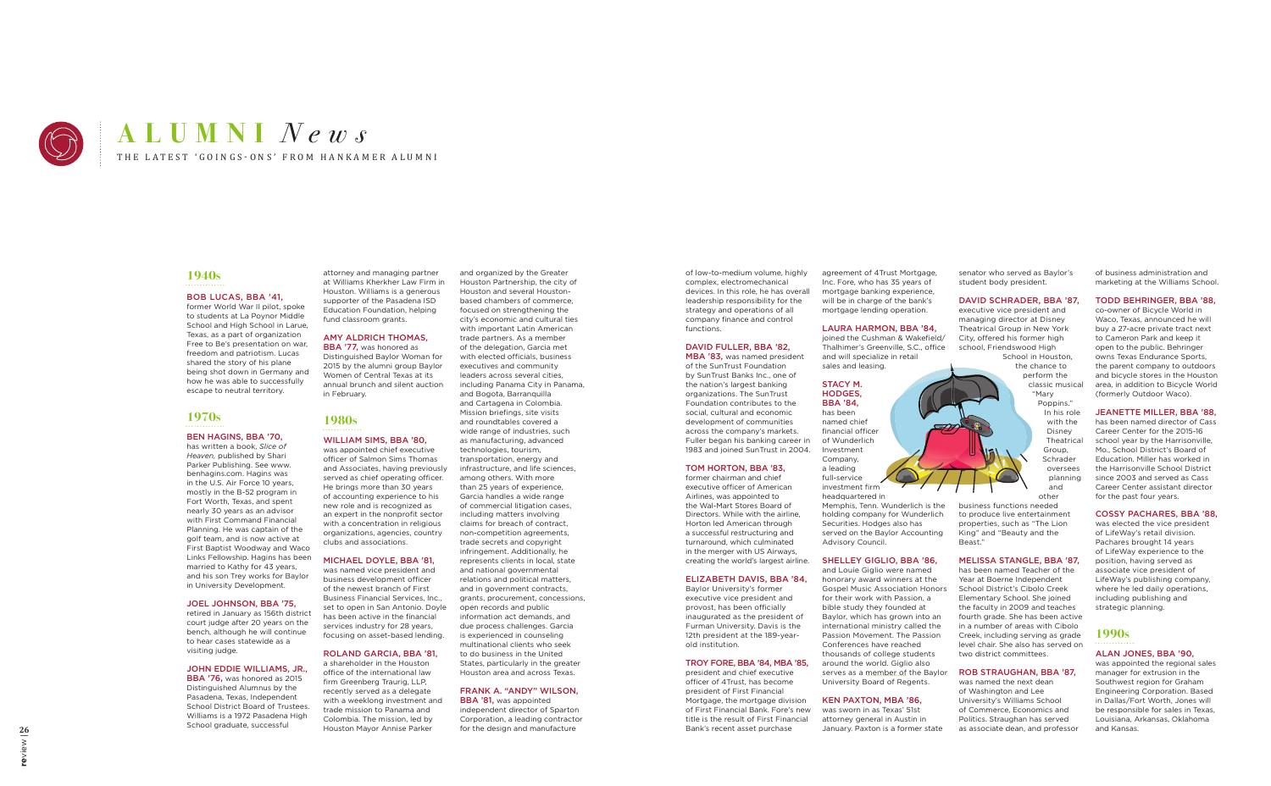# **1940s**

# BOB LUCAS, BBA '41,

former World War II pilot, spoke to students at La Poynor Middle School and High School in Larue. Texas, as a part of organization Free to Be's presentation on war, freedom and patriotism. Lucas shared the story of his plane being shot down in Germany and how he was able to successfully escape to neutral territory.

# **1970s**

# BEN HAGINS, BBA '70,

has written a book, *Slice of Heaven,* published by Shari Parker Publishing. See www. benhagins.com. Hagins was in the U.S. Air Force 10 years, mostly in the B-52 program in Fort Worth, Texas, and spent nearly 30 years as an advisor with First Command Financial Planning. He was captain of the golf team, and is now active at First Baptist Woodway and Waco Links Fellowship. Hagins has been married to Kathy for 43 years, and his son Trey works for Baylor in University Development.

BBA '76, was honored as 2015 Distinguished Alumnus by the Pasadena, Texas, Independent School District Board of Trustees. Williams is a 1972 Pasadena High School graduate, successful

BBA '77, was honored as Distinguished Baylor Woman for 2015 by the alumni group Baylor Women of Central Texas at its annual brunch and silent auction in February.

### JOEL JOHNSON, BBA '75,

retired in January as 156th district court judge after 20 years on the bench, although he will continue to hear cases statewide as a visiting judge.

## JOHN EDDIE WILLIAMS, JR.,

attorney and managing partner at Williams Kherkher Law Firm in Houston. Williams is a generous supporter of the Pasadena ISD Education Foundation, helping fund classroom grants.

### AMY ALDRICH THOMAS,

# **1980s**

# WILLIAM SIMS, BBA '80,

was appointed chief executive officer of Salmon Sims Thomas and Associates, having previously served as chief operating officer. He brings more than 30 years of accounting experience to his new role and is recognized as an expert in the nonprofit sector with a concentration in religious organizations, agencies, country clubs and associations.

> **BBA '81, was appointed** independent director of Sparton Corporation, a leading contractor for the design and manufacture

### MICHAEL DOYLE, BBA '81,

was named vice president and business development officer of the newest branch of First Business Financial Services, Inc., set to open in San Antonio. Doyle has been active in the financial services industry for 28 years, focusing on asset-based lending.

## ROLAND GARCIA, BBA '81,

a shareholder in the Houston office of the international law firm Greenberg Traurig, LLP, recently served as a delegate with a weeklong investment and trade mission to Panama and Colombia. The mission, led by Houston Mayor Annise Parker

agreement of 4Trust Mortgage. Inc. Fore, who has 35 years of mortgage banking experience, will be in charge of the bank's mortgage lending operation.

and organized by the Greater Houston Partnership, the city of Houston and several Houstonbased chambers of commerce, focused on strengthening the city's economic and cultural ties with important Latin American trade partners. As a member of the delegation, Garcia met with elected officials, business executives and community leaders across several cities, including Panama City in Panama, and Bogota, Barranquilla and Cartagena in Colombia. Mission briefings, site visits and roundtables covered a wide range of industries, such as manufacturing, advanced technologies, tourism, transportation, energy and infrastructure, and life sciences, among others. With more than 25 years of experience, Garcia handles a wide range of commercial litigation cases, including matters involving claims for breach of contract, non-competition agreements, trade secrets and copyright infringement. Additionally, he represents clients in local, state and national governmental relations and political matters, and in government contracts, grants, procurement, concessions, open records and public information act demands, and due process challenges. Garcia is experienced in counseling multinational clients who seek to do business in the United States, particularly in the greater Houston area and across Texas.

### FRANK A. "ANDY" WILSON,

of low-to-medium volume, highly complex, electromechanical devices. In this role, he has overall leadership responsibility for the strategy and operations of all company finance and control functions.

### DAVID FULLER, BBA '82, MBA '83, was named president

of the SunTrust Foundation by SunTrust Banks Inc., one of the nation's largest banking organizations. The SunTrust Foundation contributes to the social, cultural and economic development of communities across the company's markets. Fuller began his banking career in 1983 and joined SunTrust in 2004.

> was appointed the regional sales manager for extrusion in the Southwest region for Graham Engineering Corporation. Based in Dallas/Fort Worth, Jones will be responsible for sales in Texas, Louisiana, Arkansas, Oklahoma and Kansas.

### TOM HORTON, BBA '83,

former chairman and chief executive officer of American Airlines, was appointed to the Wal-Mart Stores Board of Directors. While with the airline, Horton led American through a successful restructuring and turnaround, which culminated in the merger with US Airways, creating the world's largest airline.

### ELIZABETH DAVIS, BBA '84,

Baylor University's former executive vice president and provost, has been officially inaugurated as the president of Furman University. Davis is the 12th president at the 189-yearold institution.

### TROY FORE, BBA '84, MBA '85,

president and chief executive officer of 4Trust, has become president of First Financial Mortgage, the mortgage division of First Financial Bank. Fore's new title is the result of First Financial Bank's recent asset purchase

### LAURA HARMON, BBA '84,

joined the Cushman & Wakefield/ Thalhimer's Greenville, S.C., office and will specialize in retail sales and leasing.

### STACY M. HODGES,

BBA '84, has been named chief financial officer of Wunderlich Investment Company, a leading full-service investment firm headquartered in

Memphis, Tenn. Wunderlich is the holding company for Wunderlich Securities. Hodges also has served on the Baylor Accounting Advisory Council.

### SHELLEY GIGLIO, BBA '86,

and Louie Giglio were named honorary award winners at the Gospel Music Association Honors for their work with Passion, a bible study they founded at Baylor, which has grown into an international ministry called the Passion Movement. The Passion Conferences have reached thousands of college students around the world. Giglio also serves as a member of the Baylor University Board of Regents.

### KEN PAXTON, MBA '86,

was sworn in as Texas' 51st attorney general in Austin in January. Paxton is a former state senator who served as Baylor's student body president.

### DAVID SCHRADER, BBA '87,

executive vice president and managing director at Disney Theatrical Group in New York City, offered his former high school, Friendswood High School in Houston,

the chance to perform the classic musical "Mary Poppins." In his role with the Disney Theatrical Group, Schrader oversees planning and other

business functions needed to produce live entertainment properties, such as "The Lion King" and "Beauty and the Beast."

### MELISSA STANGLE, BBA '87,

has been named Teacher of the Year at Boerne Independent School District's Cibolo Creek Elementary School. She joined the faculty in 2009 and teaches fourth grade. She has been active in a number of areas with Cibolo Creek, including serving as grade level chair. She also has served on two district committees.

### ROB STRAUGHAN, BBA '87,

was named the next dean of Washington and Lee University's Williams School of Commerce, Economics and Politics. Straughan has served as associate dean, and professor of business administration and marketing at the Williams School.

### TODD BEHRINGER, BBA '88,

co-owner of Bicycle World in Waco, Texas, announced he will buy a 27-acre private tract next to Cameron Park and keep it open to the public. Behringer owns Texas Endurance Sports, the parent company to outdoors and bicycle stores in the Houston area, in addition to Bicycle World (formerly Outdoor Waco).

### JEANETTE MILLER, BBA '88,

has been named director of Cass Career Center for the 2015-16 school year by the Harrisonville, Mo., School District's Board of Education. Miller has worked in the Harrisonville School District since 2003 and served as Cass Career Center assistant director for the past four years.

### COSSY PACHARES, BBA '88,

was elected the vice president of LifeWay's retail division. Pachares brought 14 years of LifeWay experience to the position, having served as associate vice president of LifeWay's publishing company, where he led daily operations, including publishing and strategic planning.

# **1990s**

### ALAN JONES, BBA '90,



# THE LATEST 'GOINGS-ONS' FROM HANKAMER ALUMNI **ALUMNI** *News*